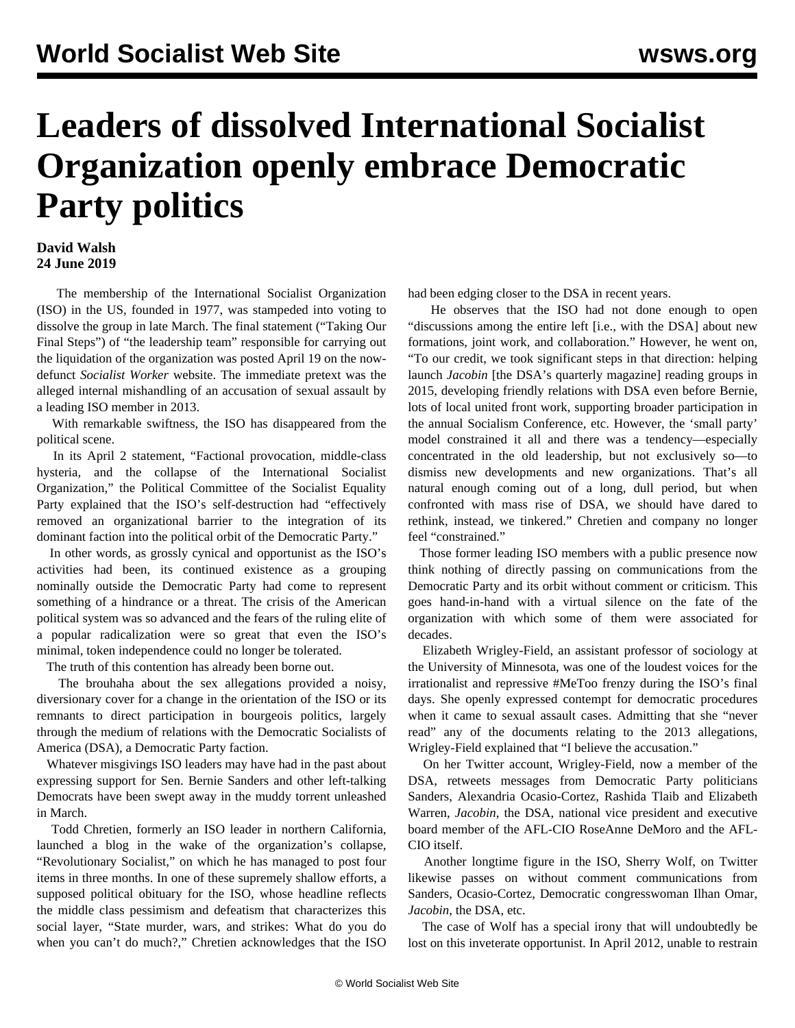## **Leaders of dissolved International Socialist Organization openly embrace Democratic Party politics**

## **David Walsh 24 June 2019**

 The membership of the International Socialist Organization (ISO) in the US, founded in 1977, was stampeded into voting to dissolve the group in late March. The final statement ("Taking Our Final Steps") of "the leadership team" responsible for carrying out the liquidation of the organization was posted April 19 on the nowdefunct *Socialist Worker* website. The immediate pretext was the alleged internal mishandling of an accusation of sexual assault by a leading ISO member in 2013.

 With remarkable swiftness, the ISO has disappeared from the political scene.

 In its April 2 statement, ["Factional provocation, middle-class](/en/articles/2019/04/02/inte-a02.html) [hysteria, and the collapse of the International Socialist](/en/articles/2019/04/02/inte-a02.html) [Organization,](/en/articles/2019/04/02/inte-a02.html)" the Political Committee of the Socialist Equality Party explained that the ISO's self-destruction had "effectively removed an organizational barrier to the integration of its dominant faction into the political orbit of the Democratic Party."

 In other words, as grossly cynical and opportunist as the ISO's activities had been, its continued existence as a grouping nominally outside the Democratic Party had come to represent something of a hindrance or a threat. The crisis of the American political system was so advanced and the fears of the ruling elite of a popular radicalization were so great that even the ISO's minimal, token independence could no longer be tolerated.

The truth of this contention has already been borne out.

 The brouhaha about the sex allegations provided a noisy, diversionary cover for a change in the orientation of the ISO or its remnants to direct participation in bourgeois politics, largely through the medium of relations with the Democratic Socialists of America (DSA), a Democratic Party faction.

 Whatever misgivings ISO leaders may have had in the past about expressing support for Sen. Bernie Sanders and other left-talking Democrats have been swept away in the muddy torrent unleashed in March.

 Todd Chretien, formerly an ISO leader in northern California, launched a blog in the wake of the organization's collapse, "Revolutionary Socialist," on which he has managed to post four items in three months. In one of these supremely shallow efforts, a supposed political obituary for the ISO, whose headline reflects the middle class pessimism and defeatism that characterizes this social layer, "State murder, wars, and strikes: What do you do when you can't do much?," Chretien acknowledges that the ISO

had been edging closer to the DSA in recent years.

 He observes that the ISO had not done enough to open "discussions among the entire left [i.e., with the DSA] about new formations, joint work, and collaboration." However, he went on, "To our credit, we took significant steps in that direction: helping launch *Jacobin* [the DSA's quarterly magazine] reading groups in 2015, developing friendly relations with DSA even before Bernie, lots of local united front work, supporting broader participation in the annual Socialism Conference, etc. However, the 'small party' model constrained it all and there was a tendency—especially concentrated in the old leadership, but not exclusively so—to dismiss new developments and new organizations. That's all natural enough coming out of a long, dull period, but when confronted with mass rise of DSA, we should have dared to rethink, instead, we tinkered." Chretien and company no longer feel "constrained."

 Those former leading ISO members with a public presence now think nothing of directly passing on communications from the Democratic Party and its orbit without comment or criticism. This goes hand-in-hand with a virtual silence on the fate of the organization with which some of them were associated for decades.

 Elizabeth Wrigley-Field, an assistant professor of sociology at the University of Minnesota, was one of the loudest voices for the irrationalist and repressive #MeToo frenzy during the ISO's final days. She openly expressed contempt for democratic procedures when it came to sexual assault cases. Admitting that she "never read" any of the documents relating to the 2013 allegations, Wrigley-Field explained that "I believe the accusation."

 On her Twitter account, Wrigley-Field, now a member of the DSA, retweets messages from Democratic Party politicians Sanders, Alexandria Ocasio-Cortez, Rashida Tlaib and Elizabeth Warren, *Jacobin*, the DSA, national vice president and executive board member of the AFL-CIO RoseAnne DeMoro and the AFL-CIO itself.

 Another longtime figure in the ISO, Sherry Wolf, on Twitter likewise passes on without comment communications from Sanders, Ocasio-Cortez, Democratic congresswoman Ilhan Omar, *Jacobin*, the DSA, etc.

 The case of Wolf has a special irony that will undoubtedly be lost on this inveterate opportunist. In April 2012, unable to restrain